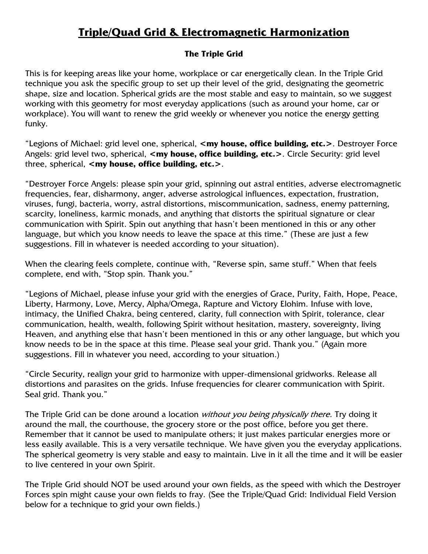# **Triple/Quad Grid & Electromagnetic Harmonization**

## **The Triple Grid**

This is for keeping areas like your home, workplace or car energetically clean. In the Triple Grid technique you ask the specific group to set up their level of the grid, designating the geometric shape, size and location. Spherical grids are the most stable and easy to maintain, so we suggest working with this geometry for most everyday applications (such as around your home, car or workplace). You will want to renew the grid weekly or whenever you notice the energy getting funky.

"Legions of Michael: grid level one, spherical, **<my house, office building, etc.>**. Destroyer Force Angels: grid level two, spherical, <my house, office building, etc.>. Circle Security: grid level three, spherical, <my house, office building, etc.>.

"Destroyer Force Angels: please spin your grid, spinning out astral entities, adverse electromagnetic frequencies, fear, disharmony, anger, adverse astrological influences, expectation, frustration, viruses, fungi, bacteria, worry, astral distortions, miscommunication, sadness, enemy patterning, scarcity, loneliness, karmic monads, and anything that distorts the spiritual signature or clear communication with Spirit. Spin out anything that hasn't been mentioned in this or any other language, but which you know needs to leave the space at this time." (These are just a few suggestions. Fill in whatever is needed according to your situation).

When the clearing feels complete, continue with, "Reverse spin, same stuff." When that feels complete, end with, "Stop spin. Thank you."

"Legions of Michael, please infuse your grid with the energies of Grace, Purity, Faith, Hope, Peace, Liberty, Harmony, Love, Mercy, Alpha/Omega, Rapture and Victory Elohim. Infuse with love, intimacy, the Unified Chakra, being centered, clarity, full connection with Spirit, tolerance, clear communication, health, wealth, following Spirit without hesitation, mastery, sovereignty, living Heaven, and anything else that hasn't been mentioned in this or any other language, but which you know needs to be in the space at this time. Please seal your grid. Thank you." (Again more suggestions. Fill in whatever you need, according to your situation.)

"Circle Security, realign your grid to harmonize with upper-dimensional gridworks. Release all distortions and parasites on the grids. Infuse frequencies for clearer communication with Spirit. Seal grid. Thank you."

The Triple Grid can be done around a location without you being physically there. Try doing it around the mall, the courthouse, the grocery store or the post office, before you get there. Remember that it cannot be used to manipulate others; it just makes particular energies more or less easily available. This is a very versatile technique. We have given you the everyday applications. The spherical geometry is very stable and easy to maintain. Live in it all the time and it will be easier to live centered in your own Spirit.

The Triple Grid should NOT be used around your own fields, as the speed with which the Destroyer Forces spin might cause your own fields to fray. (See the Triple/Quad Grid: Individual Field Version below for a technique to grid your own fields.)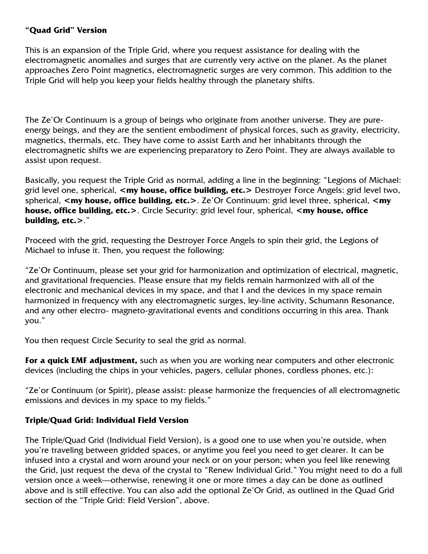#### **"Quad Grid" Version**

This is an expansion of the Triple Grid, where you request assistance for dealing with the electromagnetic anomalies and surges that are currently very active on the planet. As the planet approaches Zero Point magnetics, electromagnetic surges are very common. This addition to the Triple Grid will help you keep your fields healthy through the planetary shifts.

The Ze'Or Continuum is a group of beings who originate from another universe. They are pureenergy beings, and they are the sentient embodiment of physical forces, such as gravity, electricity, magnetics, thermals, etc. They have come to assist Earth and her inhabitants through the electromagnetic shifts we are experiencing preparatory to Zero Point. They are always available to assist upon request.

Basically, you request the Triple Grid as normal, adding a line in the beginning: "Legions of Michael: grid level one, spherical, **<my house, office building, etc.>** Destroyer Force Angels: grid level two, spherical, **<my house, office building, etc.>**. Ze'Or Continuum: grid level three, spherical, **<my house, office building, etc.>**. Circle Security: grid level four, spherical, **<my house, office building, etc.>**."

Proceed with the grid, requesting the Destroyer Force Angels to spin their grid, the Legions of Michael to infuse it. Then, you request the following:

"Ze'Or Continuum, please set your grid for harmonization and optimization of electrical, magnetic, and gravitational frequencies. Please ensure that my fields remain harmonized with all of the electronic and mechanical devices in my space, and that I and the devices in my space remain harmonized in frequency with any electromagnetic surges, ley-line activity, Schumann Resonance, and any other electro- magneto-gravitational events and conditions occurring in this area. Thank you."

You then request Circle Security to seal the grid as normal.

**For a quick EMF adjustment,** such as when you are working near computers and other electronic devices (including the chips in your vehicles, pagers, cellular phones, cordless phones, etc.):

"Ze'or Continuum (or Spirit), please assist: please harmonize the frequencies of all electromagnetic emissions and devices in my space to my fields."

## **Triple/Quad Grid: Individual Field Version**

The Triple/Quad Grid (Individual Field Version), is a good one to use when you're outside, when you're traveling between gridded spaces, or anytime you feel you need to get clearer. It can be infused into a crystal and worn around your neck or on your person; when you feel like renewing the Grid, just request the deva of the crystal to "Renew Individual Grid." You might need to do a full version once a week—otherwise, renewing it one or more times a day can be done as outlined above and is still effective. You can also add the optional Ze'Or Grid, as outlined in the Quad Grid section of the "Triple Grid: Field Version", above.